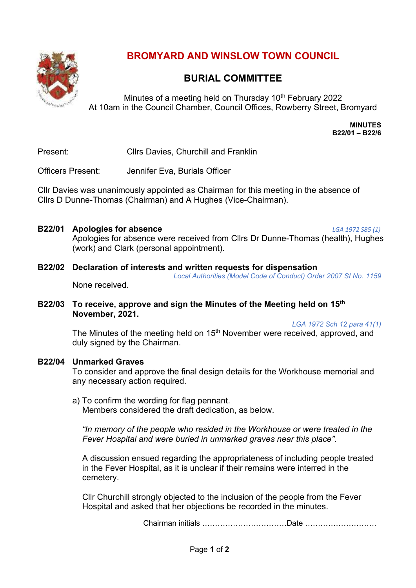

# **BROMYARD AND WINSLOW TOWN COUNCIL**

# **BURIAL COMMITTEE**

Minutes of a meeting held on Thursday 10<sup>th</sup> February 2022 At 10am in the Council Chamber, Council Offices, Rowberry Street, Bromyard

> **MINUTES B22/01 – B22/6**

Present: Cllrs Davies, Churchill and Franklin

Officers Present: Jennifer Eva, Burials Officer

Cllr Davies was unanimously appointed as Chairman for this meeting in the absence of Cllrs D Dunne-Thomas (Chairman) and A Hughes (Vice-Chairman).

**B22/01 Apologies for absence** *LGA 1972 S85 (1)*

None received.

Apologies for absence were received from Cllrs Dr Dunne-Thomas (health), Hughes (work) and Clark (personal appointment).

#### **B22/02 Declaration of interests and written requests for dispensation**

*Local Authorities (Model Code of Conduct) Order 2007 SI No. 1159*

**B22/03 To receive, approve and sign the Minutes of the Meeting held on 15th November, 2021.** 

*LGA 1972 Sch 12 para 41(1)*

The Minutes of the meeting held on 15<sup>th</sup> November were received, approved, and duly signed by the Chairman.

#### **B22/04 Unmarked Graves**

To consider and approve the final design details for the Workhouse memorial and any necessary action required.

a) To confirm the wording for flag pennant. Members considered the draft dedication, as below.

*"In memory of the people who resided in the Workhouse or were treated in the Fever Hospital and were buried in unmarked graves near this place".*

A discussion ensued regarding the appropriateness of including people treated in the Fever Hospital, as it is unclear if their remains were interred in the cemetery.

Cllr Churchill strongly objected to the inclusion of the people from the Fever Hospital and asked that her objections be recorded in the minutes.

Chairman initials ……………………………Date ……………………….